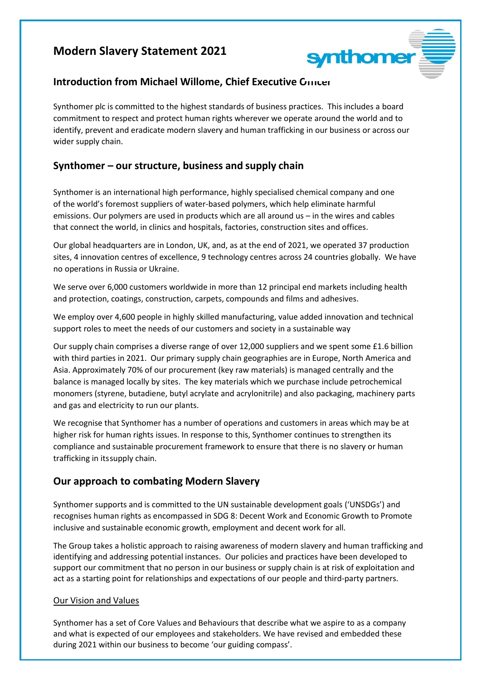# **Modern Slavery Statement 2021**



## **Introduction from Michael Willome, Chief Executive Grincer**

Synthomer plc is committed to the highest standards of business practices. This includes a board commitment to respect and protect human rights wherever we operate around the world and to identify, prevent and eradicate modern slavery and human trafficking in our business or across our wider supply chain.

## **Synthomer – our structure, business and supply chain**

Synthomer is an international high performance, highly specialised chemical company and one of the world's foremost suppliers of water-based polymers, which help eliminate harmful emissions. Our polymers are used in products which are all around us – in the wires and cables that connect the world, in clinics and hospitals, factories, construction sites and offices.

Our global headquarters are in London, UK, and, as at the end of 2021, we operated 37 production sites, 4 innovation centres of excellence, 9 technology centres across 24 countries globally. We have no operations in Russia or Ukraine.

We serve over 6,000 customers worldwide in more than 12 principal end markets including health and protection, coatings, construction, carpets, compounds and films and adhesives.

We employ over 4,600 people in highly skilled manufacturing, value added innovation and technical support roles to meet the needs of our customers and society in a sustainable way

Our supply chain comprises a diverse range of over 12,000 suppliers and we spent some £1.6 billion with third parties in 2021. Our primary supply chain geographies are in Europe, North America and Asia. Approximately 70% of our procurement (key raw materials) is managed centrally and the balance is managed locally by sites. The key materials which we purchase include petrochemical monomers (styrene, butadiene, butyl acrylate and acrylonitrile) and also packaging, machinery parts and gas and electricity to run our plants.

We recognise that Synthomer has a number of operations and customers in areas which may be at higher risk for human rights issues. In response to this, Synthomer continues to strengthen its compliance and sustainable procurement framework to ensure that there is no slavery or human trafficking in its supply chain.

# **Our approach to combating Modern Slavery**

Synthomer supports and is committed to the UN sustainable development goals ('UNSDGs') and recognises human rights as encompassed in SDG 8: Decent Work and Economic Growth to Promote inclusive and sustainable economic growth, employment and decent work for all.

The Group takes a holistic approach to raising awareness of modern slavery and human trafficking and identifying and addressing potential instances. Our policies and practices have been developed to support our commitment that no person in our business or supply chain is at risk of exploitation and act as a starting point for relationships and expectations of our people and third-party partners.

#### Our Vision and Values

Synthomer has a set of Core Values and Behaviours that describe what we aspire to as a company and what is expected of our employees and stakeholders. We have revised and embedded these during 2021 within our business to become 'our guiding compass'.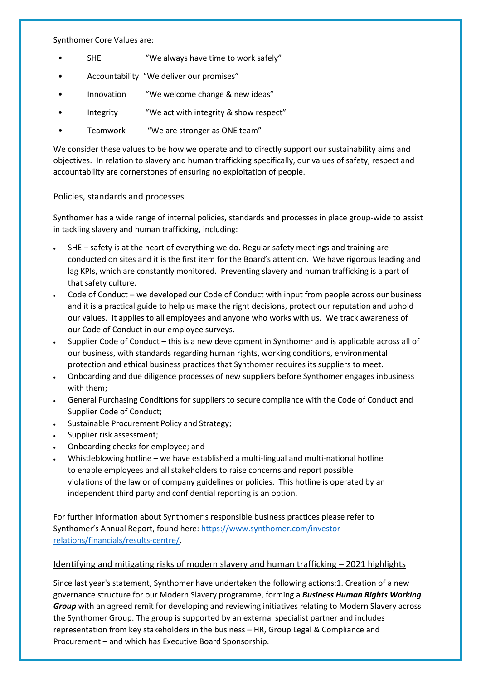Synthomer Core Values are:

- SHE "We always have time to work safely"
- Accountability "We deliver our promises"
- Innovation "We welcome change & new ideas"
- Integrity "We act with integrity & show respect"
- Teamwork "We are stronger as ONE team"

We consider these values to be how we operate and to directly support our sustainability aims and objectives. In relation to slavery and human trafficking specifically, our values of safety, respect and accountability are cornerstones of ensuring no exploitation of people.

#### Policies, standards and processes

Synthomer has a wide range of internal policies, standards and processes in place group-wide to assist in tackling slavery and human trafficking, including:

- SHE safety is at the heart of everything we do. Regular safety meetings and training are conducted on sites and it is the first item for the Board's attention. We have rigorous leading and lag KPIs, which are constantly monitored. Preventing slavery and human trafficking is a part of that safety culture.
- Code of Conduct we developed our Code of Conduct with input from people across our business and it is a practical guide to help us make the right decisions, protect our reputation and uphold our values. It applies to all employees and anyone who works with us. We track awareness of our Code of Conduct in our employee surveys.
- Supplier Code of Conduct this is a new development in Synthomer and is applicable across all of our business, with standards regarding human rights, working conditions, environmental protection and ethical business practices that Synthomer requires its suppliers to meet.
- Onboarding and due diligence processes of new suppliers before Synthomer engages inbusiness with them;
- General Purchasing Conditions for suppliers to secure compliance with the Code of Conduct and Supplier Code of Conduct;
- Sustainable Procurement Policy and Strategy;
- Supplier risk assessment;
- Onboarding checks for employee; and
- Whistleblowing hotline we have established a multi-lingual and multi-national hotline to enable employees and all stakeholders to raise concerns and report possible violations of the law or of company guidelines or policies. This hotline is operated by an independent third party and confidential reporting is an option.

For further Information about Synthomer's responsible business practices please refer to Synthomer's Annual Report, found here: [https://www.synthomer.com/investor](https://www.synthomer.com/investor-relations/financials/results-centre/)[relations/financials/results-centre/.](https://www.synthomer.com/investor-relations/financials/results-centre/)

### Identifying and mitigating risks of modern slavery and human trafficking - 2021 highlights

Since last year's statement, Synthomer have undertaken the following actions:1. Creation of a new governance structure for our Modern Slavery programme, forming a *Business Human Rights Working Group* with an agreed remit for developing and reviewing initiatives relating to Modern Slavery across the Synthomer Group. The group is supported by an external specialist partner and includes representation from key stakeholders in the business – HR, Group Legal & Compliance and Procurement – and which has Executive Board Sponsorship.